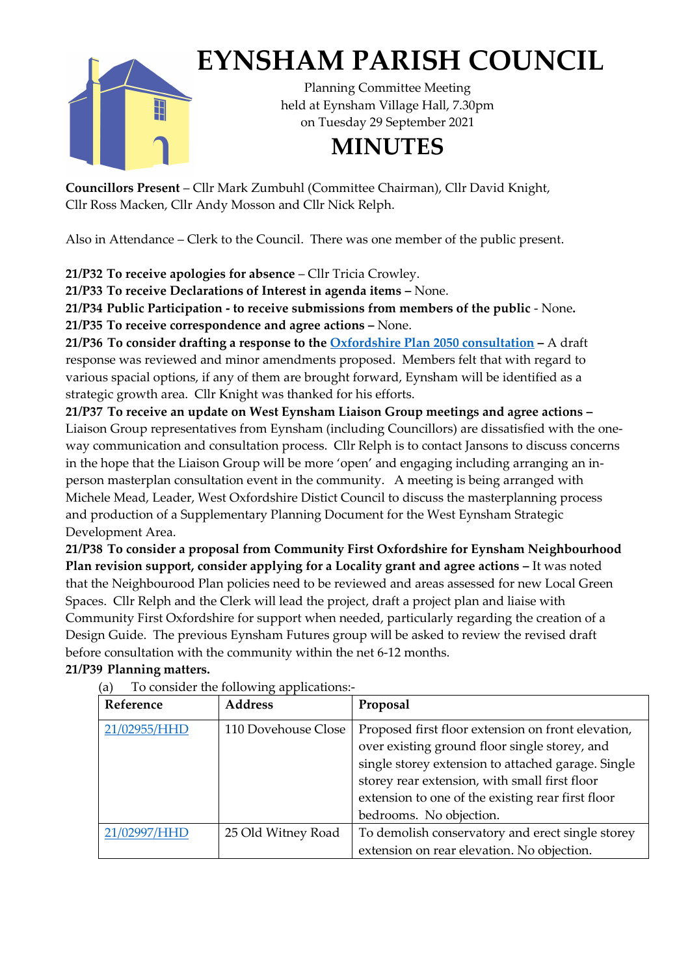

## **EYNSHAM PARISH COUNCIL**

Planning Committee Meeting held at Eynsham Village Hall, 7.30pm on Tuesday 29 September 2021

## **MINUTES**

**Councillors Present** – Cllr Mark Zumbuhl (Committee Chairman), Cllr David Knight, Cllr Ross Macken, Cllr Andy Mosson and Cllr Nick Relph.

Also in Attendance – Clerk to the Council. There was one member of the public present.

**21/P32 To receive apologies for absence** – Cllr Tricia Crowley.

**21/P33 To receive Declarations of Interest in agenda items –** None.

**21/P34 Public Participation - to receive submissions from members of the public** - None**. 21/P35 To receive correspondence and agree actions –** None.

**21/P36 To consider drafting a response to the [Oxfordshire Plan 2050](https://oxfordshireplan.org/) consultation –** A draft response was reviewed and minor amendments proposed. Members felt that with regard to various spacial options, if any of them are brought forward, Eynsham will be identified as a strategic growth area. Cllr Knight was thanked for his efforts.

**21/P37 To receive an update on West Eynsham Liaison Group meetings and agree actions –** Liaison Group representatives from Eynsham (including Councillors) are dissatisfied with the oneway communication and consultation process. Cllr Relph is to contact Jansons to discuss concerns in the hope that the Liaison Group will be more 'open' and engaging including arranging an inperson masterplan consultation event in the community. A meeting is being arranged with Michele Mead, Leader, West Oxfordshire Distict Council to discuss the masterplanning process and production of a Supplementary Planning Document for the West Eynsham Strategic Development Area.

**21/P38 To consider a proposal from Community First Oxfordshire for Eynsham Neighbourhood Plan revision support, consider applying for a Locality grant and agree actions –** It was noted that the Neighbourood Plan policies need to be reviewed and areas assessed for new Local Green Spaces. Cllr Relph and the Clerk will lead the project, draft a project plan and liaise with Community First Oxfordshire for support when needed, particularly regarding the creation of a Design Guide. The previous Eynsham Futures group will be asked to review the revised draft before consultation with the community within the net 6-12 months. **21/P39 Planning matters.**

| Reference    | <b>Address</b>      | Proposal                                                                                                                                                                                                                                                                                   |
|--------------|---------------------|--------------------------------------------------------------------------------------------------------------------------------------------------------------------------------------------------------------------------------------------------------------------------------------------|
| 21/02955/HHD | 110 Dovehouse Close | Proposed first floor extension on front elevation,<br>over existing ground floor single storey, and<br>single storey extension to attached garage. Single<br>storey rear extension, with small first floor<br>extension to one of the existing rear first floor<br>bedrooms. No objection. |
| 21/02997/HHD | 25 Old Witney Road  | To demolish conservatory and erect single storey                                                                                                                                                                                                                                           |
|              |                     | extension on rear elevation. No objection.                                                                                                                                                                                                                                                 |

(a) To consider the following applications:-